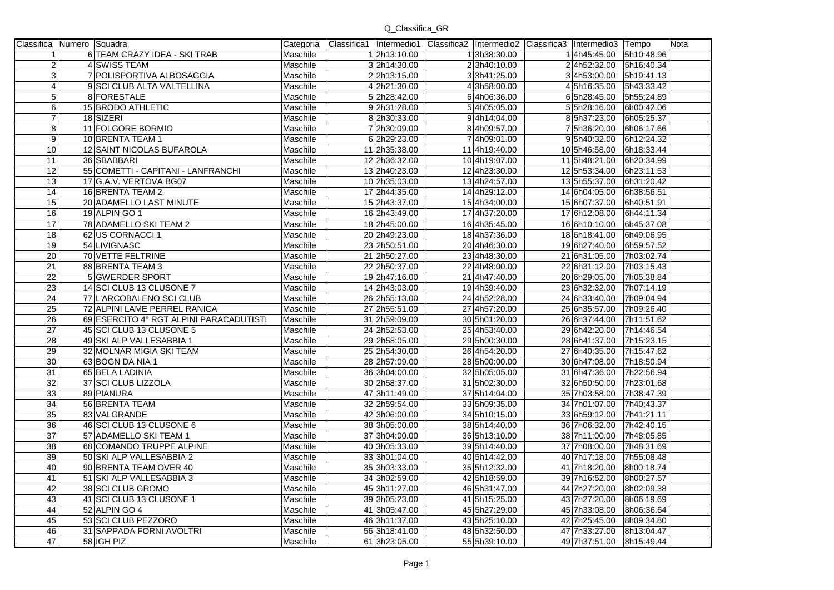## Q\_Classifica\_GR

|                  | Classifica Numero Squadra               | Categoria |               | Classifica1 Intermedio1 Classifica2 Intermedio2 Classifica3 Intermedio3 Tempo |                        |            | Nota |
|------------------|-----------------------------------------|-----------|---------------|-------------------------------------------------------------------------------|------------------------|------------|------|
| $\mathbf{1}$     | 6 TEAM CRAZY IDEA - SKI TRAB            | Maschile  | 12h13:10.00   | 13h38:30.00                                                                   | 14h45:45.00 5h10:48.96 |            |      |
| $\boldsymbol{2}$ | 4 SWISS TEAM                            | Maschile  | 32h14:30.00   | 23h40:10.00                                                                   | 24h52:32.00 5h16:40.34 |            |      |
| 3                | 7 POLISPORTIVA ALBOSAGGIA               | Maschile  | 22h13:15.00   | 33h41:25.00                                                                   | 34h53:00.00 5h19:41.13 |            |      |
| 4                | 9 SCI CLUB ALTA VALTELLINA              | Maschile  | 42h21:30.00   | 43h58:00.00                                                                   | 45h16:35.00            | 5h43:33.42 |      |
| $\overline{5}$   | 8 FORESTALE                             | Maschile  | 52h28:42.00   | 64h06:36.00                                                                   | 65h28:45.00            | 5h55:24.89 |      |
| 6                | 15 BRODO ATHLETIC                       | Maschile  | 92h31:28.00   | 54h05:05.00                                                                   | 55h28:16.00            | 6h00:42.06 |      |
| $\overline{7}$   | 18 SIZERI                               | Maschile  | 82h30:33.00   | 94h14:04.00                                                                   | 85h37:23.00            | 6h05:25.37 |      |
| 8                | 11 FOLGORE BORMIO                       | Maschile  | 72h30:09.00   | 84h09:57.00                                                                   | 75h36:20.00            | 6h06:17.66 |      |
| 9                | 10 BRENTA TEAM 1                        | Maschile  | 62h29:23.00   | 74h09:01.00                                                                   | 95h40:32.00            | 6h12:24.32 |      |
| 10               | 12 SAINT NICOLAS BUFAROLA               | Maschile  | 11 2h35:38.00 | 11 4h19:40.00                                                                 | 10 5h46:58.00          | 6h18:33.44 |      |
| 11               | 36 SBABBARI                             | Maschile  | 122h36:32.00  | 10 4h19:07.00                                                                 | 11 5h48:21.00          | 6h20:34.99 |      |
| 12               | 55 COMETTI - CAPITANI - LANFRANCHI      | Maschile  | 132h40:23.00  | 124h23:30.00                                                                  | 12 5h53:34.00          | 6h23:11.53 |      |
| 13               | 17 G.A.V. VERTOVA BG07                  | Maschile  | 102h35:03.00  | 134h24:57.00                                                                  | 13 5h55:37.00          | 6h31:20.42 |      |
| 14               | 16 BRENTA TEAM 2                        | Maschile  | 17 2h44:35.00 | 14 4h29:12.00                                                                 | 14 6h04:05.00          | 6h38:56.51 |      |
| 15               | 20 ADAMELLO LAST MINUTE                 | Maschile  | 15 2h43:37.00 | 154h34:00.00                                                                  | 15 6h07:37.00          | 6h40:51.91 |      |
| 16               | 19 ALPIN GO 1                           | Maschile  | 16 2h43:49.00 | 174h37:20.00                                                                  | 17 6h12:08.00          | 6h44:11.34 |      |
| 17               | 78 ADAMELLO SKI TEAM 2                  | Maschile  | 18 2h45:00.00 | 164h35:45.00                                                                  | 16 6h10:10.00          | 6h45:37.08 |      |
| 18               | 62 US CORNACCI 1                        | Maschile  | 20 2h49:23.00 | 184h37:36.00                                                                  | 18 6h18:41.00          | 6h49:06.95 |      |
| 19               | 54 LIVIGNASC                            | Maschile  | 23 2h50:51.00 | 20 4h46:30.00                                                                 | 19 6h27:40.00          | 6h59:57.52 |      |
| 20               | 70 VETTE FELTRINE                       | Maschile  | 21 2h50:27.00 | 23 4h48:30.00                                                                 | 21 6h31:05.00          | 7h03:02.74 |      |
| $\overline{21}$  | 88 BRENTA TEAM 3                        | Maschile  | 22 2h50:37.00 | 22 4h48:00.00                                                                 | 22 6h31:12.00          | 7h03:15.43 |      |
| 22               | 5 GWERDER SPORT                         | Maschile  | 19 2h47:16.00 | 21 4h47:40.00                                                                 | 20 6h29:05.00          | 7h05:38.84 |      |
| 23               | 14 SCI CLUB 13 CLUSONE 7                | Maschile  | 14 2h43:03.00 | 194h39:40.00                                                                  | 23 6h32:32.00          | 7h07:14.19 |      |
| $\overline{24}$  | 77 L'ARCOBALENO SCI CLUB                | Maschile  | 26 2h55:13.00 | 24 4h52:28.00                                                                 | 24 6h33:40.00          | 7h09:04.94 |      |
| $\overline{25}$  | 72 ALPINI LAME PERREL RANICA            | Maschile  | 27 2h55:51.00 | 27 4h57:20.00                                                                 | 25 6h35:57.00          | 7h09:26.40 |      |
| $\overline{26}$  | 69 ESERCITO 4° RGT ALPINI PARACADUTISTI | Maschile  | 31 2h59:09.00 | 30 5h01:20.00                                                                 | 26 6h37:44.00          | 7h11:51.62 |      |
| 27               | 45 SCI CLUB 13 CLUSONE 5                | Maschile  | 24 2h52:53.00 | 254h53:40.00                                                                  | 29 6h42:20.00          | 7h14:46.54 |      |
| 28               | 49 SKI ALP VALLESABBIA 1                | Maschile  | 29 2h58:05.00 | 29 5h00:30.00                                                                 | 28 6h41:37.00          | 7h15:23.15 |      |
| 29               | 32 MOLNAR MIGIA SKI TEAM                | Maschile  | 25 2h54:30.00 | 26 4h54:20.00                                                                 | 27 6h40:35.00          | 7h15:47.62 |      |
| $\overline{30}$  | 63 BOGN DA NIA 1                        | Maschile  | 28 2h57:09.00 | 28 5h00:00.00                                                                 | 30 6h47:08.00          | 7h18:50.94 |      |
| 31               | 65 BELA LADINIA                         | Maschile  | 36 3h04:00.00 | 32 5h05:05.00                                                                 | 31 6h47:36.00          | 7h22:56.94 |      |
| 32               | 37 SCI CLUB LIZZOLA                     | Maschile  | 30 2h58:37.00 | 31 5h02:30.00                                                                 | 32 6h50:50.00          | 7h23:01.68 |      |
| 33               | 89 PIANURA                              | Maschile  | 473h11:49.00  | 37 5h14:04.00                                                                 | 35 7h03:58.00          | 7h38:47.39 |      |
| 34               | 56 BRENTA TEAM                          | Maschile  | 32 2h59:54.00 | 33 5h09:35.00                                                                 | 34 7h01:07.00          | 7h40:43.37 |      |
| $\overline{35}$  | 83 VALGRANDE                            | Maschile  | 42 3h06:00.00 | 34 5h10:15.00                                                                 | 33 6h59:12.00          | 7h41:21.11 |      |
| 36               | 46 SCI CLUB 13 CLUSONE 6                | Maschile  | 38 3h05:00.00 | 38 5h14:40.00                                                                 | 36 7h06:32.00          | 7h42:40.15 |      |
| 37               | 57 ADAMELLO SKI TEAM 1                  | Maschile  | 37 3h04:00.00 | 365h13:10.00                                                                  | 38 7h11:00.00          | 7h48:05.85 |      |
| 38               | 68 COMANDO TRUPPE ALPINE                | Maschile  | 40 3h05:33.00 | 39 5h14:40.00                                                                 | 37 7h08:00.00          | 7h48:31.69 |      |
| 39               | 50 SKI ALP VALLESABBIA 2                | Maschile  | 33301:04.00   | 40 5h14:42.00                                                                 | 40 7h17:18.00          | 7h55:08.48 |      |
| 40               | 90 BRENTA TEAM OVER 40                  | Maschile  | 35 3h03:33.00 | 35 5h12:32.00                                                                 | 41 7h18:20.00          | 8h00:18.74 |      |
| 41               | 51 SKI ALP VALLESABBIA 3                | Maschile  | 34 3h02:59.00 | 42 5h18:59.00                                                                 | 39 7h16:52.00          | 8h00:27.57 |      |
| 42               | 38 SCI CLUB GROMO                       | Maschile  | 45 3h11:27.00 | 46 5h31:47.00                                                                 | 44 7h27:20.00          | 8h02:09.38 |      |
| 43               | 41 SCI CLUB 13 CLUSONE 1                | Maschile  | 393h05:23.00  | 415h15:25.00                                                                  | 43 7h27:20.00          | 8h06:19.69 |      |
| 44               | 52 ALPIN GO 4                           | Maschile  | 41 3h05:47.00 | 45 5h27:29.00                                                                 | 45 7h33:08.00          | 8h06:36.64 |      |
| 45               | 53 SCI CLUB PEZZORO                     | Maschile  | 46 3h11:37.00 | 43 5h25:10.00                                                                 | 42 7h25:45.00          | 8h09:34.80 |      |
| 46               | 31 SAPPADA FORNI AVOLTRI                | Maschile  | 56 3h18:41.00 | 48 5h32:50.00                                                                 | 47 7h33:27.00          | 8h13:04.47 |      |
| 47               | 58 IGH PIZ                              | Maschile  | 61 3h23:05.00 | 55 5h39:10.00                                                                 | 49 7h37:51.00          | 8h15:49.44 |      |